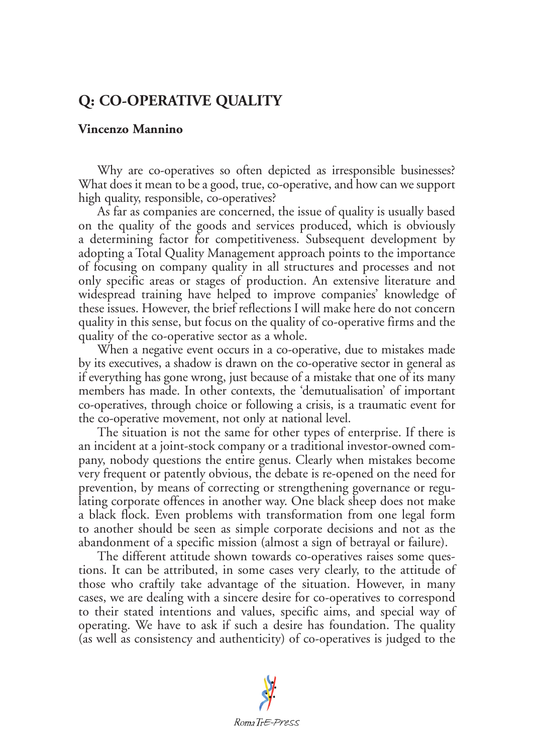## **Q: CO-OPERATIVE QUALITY**

## **Vincenzo Mannino**

Why are co-operatives so often depicted as irresponsible businesses? What does it mean to be a good, true, co-operative, and how can we support high quality, responsible, co-operatives?

As far as companies are concerned, the issue of quality is usually based on the quality of the goods and services produced, which is obviously a determining factor for competitiveness. Subsequent development by adopting a Total Quality Management approach points to the importance of focusing on company quality in all structures and processes and not only specific areas or stages of production. An extensive literature and widespread training have helped to improve companies' knowledge of these issues. However, the brief reflections I will make here do not concern quality in this sense, but focus on the quality of co-operative firms and the quality of the co-operative sector as a whole.

When a negative event occurs in a co-operative, due to mistakes made by its executives, a shadow is drawn on the co-operative sector in general as if everything has gone wrong, just because of a mistake that one of its many members has made. In other contexts, the 'demutualisation' of important co-operatives, through choice or following a crisis, is a traumatic event for the co-operative movement, not only at national level.

The situation is not the same for other types of enterprise. If there is an incident at a joint-stock company or a traditional investor-owned company, nobody questions the entire genus. Clearly when mistakes become very frequent or patently obvious, the debate is re-opened on the need for prevention, by means of correcting or strengthening governance or regulating corporate offences in another way. One black sheep does not make a black flock. Even problems with transformation from one legal form to another should be seen as simple corporate decisions and not as the abandonment of a specific mission (almost a sign of betrayal or failure).

The different attitude shown towards co-operatives raises some questions. It can be attributed, in some cases very clearly, to the attitude of those who craftily take advantage of the situation. However, in many cases, we are dealing with a sincere desire for co-operatives to correspond to their stated intentions and values, specific aims, and special way of operating. We have to ask if such a desire has foundation. The quality (as well as consistency and authenticity) of co-operatives is judged to the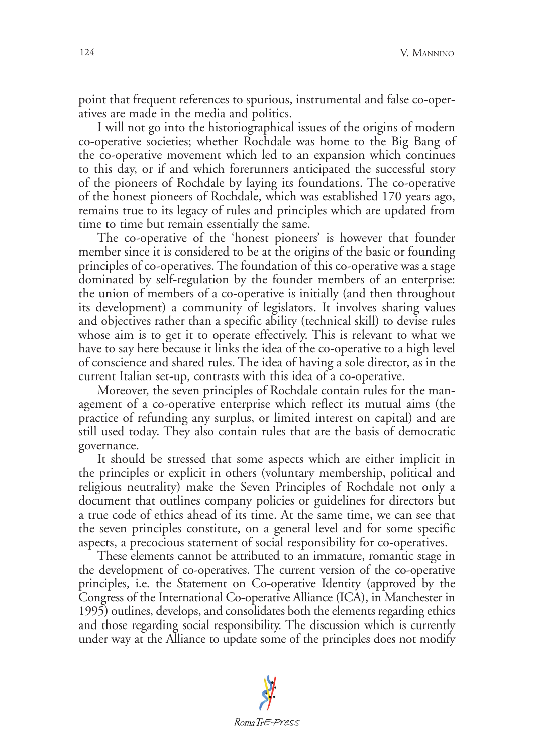point that frequent references to spurious, instrumental and false co-operatives are made in the media and politics.

I will not go into the historiographical issues of the origins of modern co-operative societies; whether Rochdale was home to the Big Bang of the co-operative movement which led to an expansion which continues to this day, or if and which forerunners anticipated the successful story of the pioneers of Rochdale by laying its foundations. The co-operative of the honest pioneers of Rochdale, which was established 170 years ago, remains true to its legacy of rules and principles which are updated from time to time but remain essentially the same.

The co-operative of the 'honest pioneers' is however that founder member since it is considered to be at the origins of the basic or founding principles of co-operatives. The foundation of this co-operative was a stage dominated by self-regulation by the founder members of an enterprise: the union of members of a co-operative is initially (and then throughout its development) a community of legislators. It involves sharing values and objectives rather than a specific ability (technical skill) to devise rules whose aim is to get it to operate effectively. This is relevant to what we have to say here because it links the idea of the co-operative to a high level of conscience and shared rules. The idea of having a sole director, as in the current Italian set-up, contrasts with this idea of a co-operative.

Moreover, the seven principles of Rochdale contain rules for the management of a co-operative enterprise which reflect its mutual aims (the practice of refunding any surplus, or limited interest on capital) and are still used today. They also contain rules that are the basis of democratic governance.

It should be stressed that some aspects which are either implicit in the principles or explicit in others (voluntary membership, political and religious neutrality) make the Seven Principles of Rochdale not only a document that outlines company policies or guidelines for directors but a true code of ethics ahead of its time. At the same time, we can see that the seven principles constitute, on a general level and for some specific aspects, a precocious statement of social responsibility for co-operatives.

These elements cannot be attributed to an immature, romantic stage in the development of co-operatives. The current version of the co-operative principles, i.e. the Statement on Co-operative Identity (approved by the Congress of the International Co-operative Alliance (ICA), in Manchester in 1995) outlines, develops, and consolidates both the elements regarding ethics and those regarding social responsibility. The discussion which is currently under way at the Alliance to update some of the principles does not modify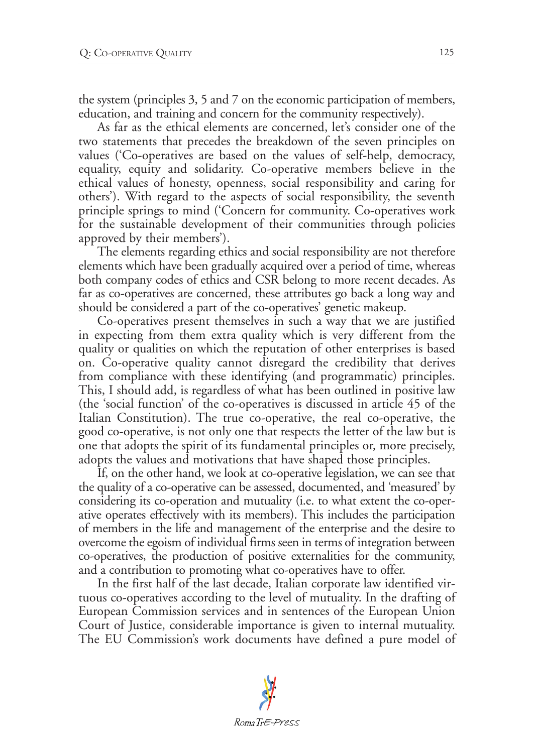the system (principles 3, 5 and 7 on the economic participation of members, education, and training and concern for the community respectively).

As far as the ethical elements are concerned, let's consider one of the two statements that precedes the breakdown of the seven principles on values ('Co-operatives are based on the values of self-help, democracy, equality, equity and solidarity. Co-operative members believe in the ethical values of honesty, openness, social responsibility and caring for others'). With regard to the aspects of social responsibility, the seventh principle springs to mind ('Concern for community. Co-operatives work for the sustainable development of their communities through policies approved by their members').

The elements regarding ethics and social responsibility are not therefore elements which have been gradually acquired over a period of time, whereas both company codes of ethics and CSR belong to more recent decades. As far as co-operatives are concerned, these attributes go back a long way and should be considered a part of the co-operatives' genetic makeup.

Co-operatives present themselves in such a way that we are justified in expecting from them extra quality which is very different from the quality or qualities on which the reputation of other enterprises is based on. Co-operative quality cannot disregard the credibility that derives from compliance with these identifying (and programmatic) principles. This, I should add, is regardless of what has been outlined in positive law (the 'social function' of the co-operatives is discussed in article 45 of the Italian Constitution). The true co-operative, the real co-operative, the good co-operative, is not only one that respects the letter of the law but is one that adopts the spirit of its fundamental principles or, more precisely, adopts the values and motivations that have shaped those principles.

If, on the other hand, we look at co-operative legislation, we can see that the quality of a co-operative can be assessed, documented, and 'measured' by considering its co-operation and mutuality (i.e. to what extent the co-operative operates effectively with its members). This includes the participation of members in the life and management of the enterprise and the desire to overcome the egoism of individual firms seen in terms of integration between co-operatives, the production of positive externalities for the community, and a contribution to promoting what co-operatives have to offer.

In the first half of the last decade, Italian corporate law identified virtuous co-operatives according to the level of mutuality. In the drafting of European Commission services and in sentences of the European Union Court of Justice, considerable importance is given to internal mutuality. The EU Commission's work documents have defined a pure model of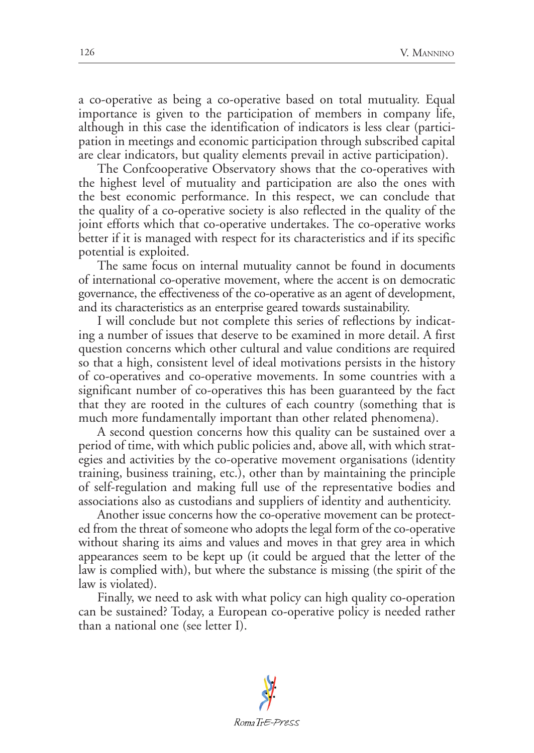a co-operative as being a co-operative based on total mutuality. Equal importance is given to the participation of members in company life, although in this case the identification of indicators is less clear (participation in meetings and economic participation through subscribed capital are clear indicators, but quality elements prevail in active participation).

The Confcooperative Observatory shows that the co-operatives with the highest level of mutuality and participation are also the ones with the best economic performance. In this respect, we can conclude that the quality of a co-operative society is also reflected in the quality of the joint efforts which that co-operative undertakes. The co-operative works better if it is managed with respect for its characteristics and if its specific potential is exploited.

The same focus on internal mutuality cannot be found in documents of international co-operative movement, where the accent is on democratic governance, the effectiveness of the co-operative as an agent of development, and its characteristics as an enterprise geared towards sustainability.

I will conclude but not complete this series of reflections by indicating a number of issues that deserve to be examined in more detail. A first question concerns which other cultural and value conditions are required so that a high, consistent level of ideal motivations persists in the history of co-operatives and co-operative movements. In some countries with a significant number of co-operatives this has been guaranteed by the fact that they are rooted in the cultures of each country (something that is much more fundamentally important than other related phenomena).

A second question concerns how this quality can be sustained over a period of time, with which public policies and, above all, with which strategies and activities by the co-operative movement organisations (identity training, business training, etc.), other than by maintaining the principle of self-regulation and making full use of the representative bodies and associations also as custodians and suppliers of identity and authenticity.

Another issue concerns how the co-operative movement can be protected from the threat of someone who adopts the legal form of the co-operative without sharing its aims and values and moves in that grey area in which appearances seem to be kept up (it could be argued that the letter of the law is complied with), but where the substance is missing (the spirit of the law is violated).

Finally, we need to ask with what policy can high quality co-operation can be sustained? Today, a European co-operative policy is needed rather than a national one (see letter I).